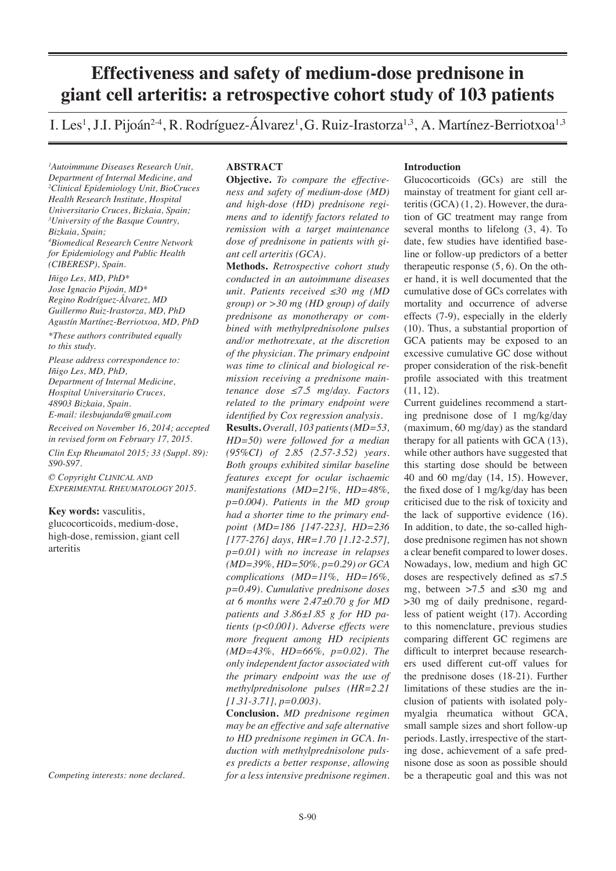# **Effectiveness and safety of medium-dose prednisone in giant cell arteritis: a retrospective cohort study of 103 patients**

I. Les<sup>1</sup>, J.I. Pijoán<sup>2-4</sup>, R. Rodríguez-Álvarez<sup>1</sup>, G. Ruiz-Irastorza<sup>1,3</sup>, A. Martínez-Berriotxoa<sup>1,3</sup>

*1 Autoimmune Diseases Research Unit, Department of Internal Medicine, and 2 Clinical Epidemiology Unit, BioCruces Health Research Institute, Hospital Universitario Cruces, Bizkaia, Spain; 3 University of the Basque Country, Bizkaia, Spain; 4 Biomedical Research Centre Network for Epidemiology and Public Health (CIBERESP), Spain.*

*Iñigo Les, MD, PhD\* Jose Ignacio Pijoán, MD\* Regino Rodríguez-Álvarez, MD Guillermo Ruiz-Irastorza, MD, PhD Agustín Martínez-Berriotxoa, MD, PhD* 

*\*These authors contributed equally to this study.*

*Please address correspondence to: Iñigo Les, MD, PhD, Department of Internal Medicine, Hospital Universitario Cruces, 48903 Bizkaia, Spain. E-mail: ilesbujanda@gmail.com*

*Received on November 16, 2014; accepted in revised form on February 17, 2015.*

*Clin Exp Rheumatol 2015; 33 (Suppl. 89): S90-S97.*

*© Copyright Clinical and Experimental Rheumatology 2015.*

# **Key words:** vasculitis,

glucocorticoids, medium-dose, high-dose, remission, giant cell arteritis

*Competing interests: none declared.*

# **ABSTRACT**

**Objective.** *To compare the effectiveness and safety of medium-dose (MD) and high-dose (HD) prednisone regimens and to identify factors related to remission with a target maintenance dose of prednisone in patients with giant cell arteritis (GCA).*

**Methods.** *Retrospective cohort study conducted in an autoimmune diseases unit. Patients received ≤30 mg (MD group) or >30 mg (HD group) of daily prednisone as monotherapy or combined with methylprednisolone pulses and/or methotrexate, at the discretion of the physician. The primary endpoint was time to clinical and biological remission receiving a prednisone maintenance dose ≤7.5 mg/day. Factors related to the primary endpoint were identified by Cox regression analysis.*

**Results.** *Overall, 103 patients (MD=53, HD=50) were followed for a median (95%CI) of 2.85 (2.57-3.52) years. Both groups exhibited similar baseline features except for ocular ischaemic manifestations (MD=21%, HD=48%, p=0.004). Patients in the MD group had a shorter time to the primary endpoint (MD=186 [147-223], HD=236 [177-276] days, HR=1.70 [1.12-2.57], p=0.01) with no increase in relapses (MD=39%, HD=50%, p=0.29) or GCA complications (MD=11%, HD=16%, p=0.49). Cumulative prednisone doses at 6 months were 2.47±0.70 g for MD patients and 3.86±1.85 g for HD patients (p<0.001). Adverse effects were more frequent among HD recipients (MD=43%, HD=66%, p=0.02). The only independent factor associated with the primary endpoint was the use of methylprednisolone pulses (HR=2.21 [1.31-3.71], p=0.003).*

**Conclusion.** *MD prednisone regimen may be an effective and safe alternative to HD prednisone regimen in GCA. Induction with methylprednisolone pulses predicts a better response, allowing for a less intensive prednisone regimen.*

# **Introduction**

Glucocorticoids (GCs) are still the mainstay of treatment for giant cell arteritis (GCA) (1, 2). However, the duration of GC treatment may range from several months to lifelong (3, 4). To date, few studies have identified baseline or follow-up predictors of a better therapeutic response (5, 6). On the other hand, it is well documented that the cumulative dose of GCs correlates with mortality and occurrence of adverse effects (7-9), especially in the elderly (10). Thus, a substantial proportion of GCA patients may be exposed to an excessive cumulative GC dose without proper consideration of the risk-benefit profile associated with this treatment (11, 12).

Current guidelines recommend a starting prednisone dose of 1 mg/kg/day (maximum, 60 mg/day) as the standard therapy for all patients with GCA (13), while other authors have suggested that this starting dose should be between 40 and 60 mg/day (14, 15). However, the fixed dose of 1 mg/kg/day has been criticised due to the risk of toxicity and the lack of supportive evidence (16). In addition, to date, the so-called highdose prednisone regimen has not shown a clear benefit compared to lower doses. Nowadays, low, medium and high GC doses are respectively defined as  $\leq 7.5$ mg, between >7.5 and ≤30 mg and >30 mg of daily prednisone, regardless of patient weight (17). According to this nomenclature, previous studies comparing different GC regimens are difficult to interpret because researchers used different cut-off values for the prednisone doses (18-21). Further limitations of these studies are the inclusion of patients with isolated polymyalgia rheumatica without GCA, small sample sizes and short follow-up periods. Lastly, irrespective of the starting dose, achievement of a safe prednisone dose as soon as possible should be a therapeutic goal and this was not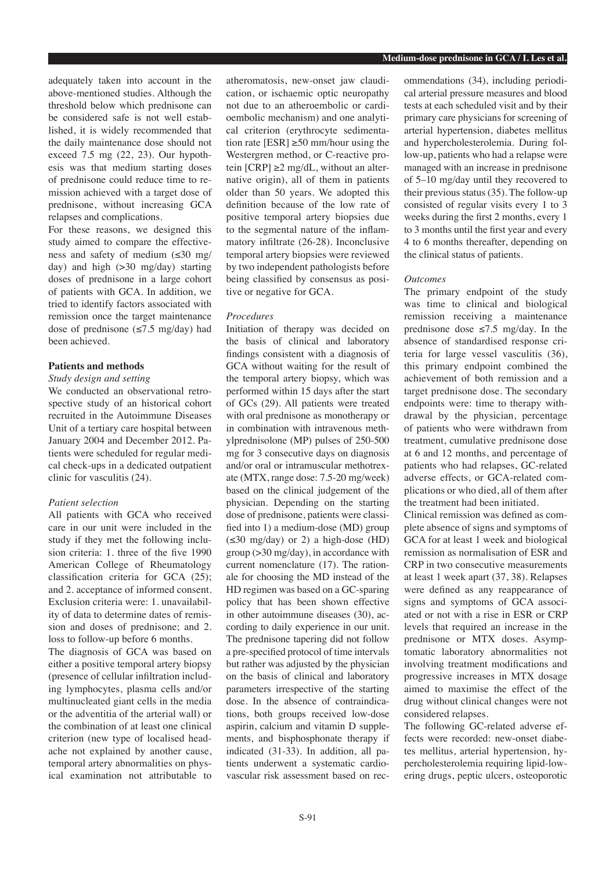adequately taken into account in the above-mentioned studies. Although the threshold below which prednisone can be considered safe is not well established, it is widely recommended that the daily maintenance dose should not exceed 7.5 mg (22, 23). Our hypothesis was that medium starting doses of prednisone could reduce time to remission achieved with a target dose of prednisone, without increasing GCA relapses and complications.

For these reasons, we designed this study aimed to compare the effectiveness and safety of medium (≤30 mg/ day) and high (>30 mg/day) starting doses of prednisone in a large cohort of patients with GCA. In addition, we tried to identify factors associated with remission once the target maintenance dose of prednisone  $(\leq 7.5 \text{ mg/day})$  had been achieved.

### **Patients and methods**

# *Study design and setting*

We conducted an observational retrospective study of an historical cohort recruited in the Autoimmune Diseases Unit of a tertiary care hospital between January 2004 and December 2012. Patients were scheduled for regular medical check-ups in a dedicated outpatient clinic for vasculitis (24).

# *Patient selection*

All patients with GCA who received care in our unit were included in the study if they met the following inclusion criteria: 1. three of the five 1990 American College of Rheumatology classification criteria for GCA (25); and 2. acceptance of informed consent. Exclusion criteria were: 1. unavailability of data to determine dates of remission and doses of prednisone; and 2. loss to follow-up before 6 months. The diagnosis of GCA was based on either a positive temporal artery biopsy

(presence of cellular infiltration including lymphocytes, plasma cells and/or multinucleated giant cells in the media or the adventitia of the arterial wall) or the combination of at least one clinical criterion (new type of localised headache not explained by another cause, temporal artery abnormalities on physical examination not attributable to

atheromatosis, new-onset jaw claudication, or ischaemic optic neuropathy not due to an atheroembolic or cardioembolic mechanism) and one analytical criterion (erythrocyte sedimentation rate  $[ESR] \geq 50$  mm/hour using the Westergren method, or C-reactive protein  $[CRP] \geq 2$  mg/dL, without an alternative origin), all of them in patients older than 50 years. We adopted this definition because of the low rate of positive temporal artery biopsies due to the segmental nature of the inflammatory infiltrate (26-28). Inconclusive temporal artery biopsies were reviewed by two independent pathologists before being classified by consensus as positive or negative for GCA.

### *Procedures*

Initiation of therapy was decided on the basis of clinical and laboratory findings consistent with a diagnosis of GCA without waiting for the result of the temporal artery biopsy, which was performed within 15 days after the start of GCs (29). All patients were treated with oral prednisone as monotherapy or in combination with intravenous methylprednisolone (MP) pulses of 250-500 mg for 3 consecutive days on diagnosis and/or oral or intramuscular methotrexate (MTX, range dose: 7.5-20 mg/week) based on the clinical judgement of the physician. Depending on the starting dose of prednisone, patients were classified into 1) a medium-dose (MD) group  $(\leq 30 \text{ mg/day})$  or 2) a high-dose (HD) group (>30 mg/day), in accordance with current nomenclature (17). The rationale for choosing the MD instead of the HD regimen was based on a GC-sparing policy that has been shown effective in other autoimmune diseases (30), according to daily experience in our unit. The prednisone tapering did not follow a pre-specified protocol of time intervals but rather was adjusted by the physician on the basis of clinical and laboratory parameters irrespective of the starting dose. In the absence of contraindications, both groups received low-dose aspirin, calcium and vitamin D supplements, and bisphosphonate therapy if indicated (31-33). In addition, all patients underwent a systematic cardiovascular risk assessment based on rec-

ommendations (34), including periodical arterial pressure measures and blood tests at each scheduled visit and by their primary care physicians for screening of arterial hypertension, diabetes mellitus and hypercholesterolemia. During follow-up, patients who had a relapse were managed with an increase in prednisone of 5–10 mg/day until they recovered to their previous status (35). The follow-up consisted of regular visits every 1 to 3 weeks during the first 2 months, every 1 to 3 months until the first year and every 4 to 6 months thereafter, depending on the clinical status of patients.

### *Outcomes*

The primary endpoint of the study was time to clinical and biological remission receiving a maintenance prednisone dose  $\leq 7.5$  mg/day. In the absence of standardised response criteria for large vessel vasculitis (36), this primary endpoint combined the achievement of both remission and a target prednisone dose. The secondary endpoints were: time to therapy withdrawal by the physician, percentage of patients who were withdrawn from treatment, cumulative prednisone dose at 6 and 12 months, and percentage of patients who had relapses, GC-related adverse effects, or GCA-related complications or who died, all of them after the treatment had been initiated.

Clinical remission was defined as complete absence of signs and symptoms of GCA for at least 1 week and biological remission as normalisation of ESR and CRP in two consecutive measurements at least 1 week apart (37, 38). Relapses were defined as any reappearance of signs and symptoms of GCA associated or not with a rise in ESR or CRP levels that required an increase in the prednisone or MTX doses. Asymptomatic laboratory abnormalities not involving treatment modifications and progressive increases in MTX dosage aimed to maximise the effect of the drug without clinical changes were not considered relapses.

The following GC-related adverse effects were recorded: new-onset diabetes mellitus, arterial hypertension, hypercholesterolemia requiring lipid-lowering drugs, peptic ulcers, osteoporotic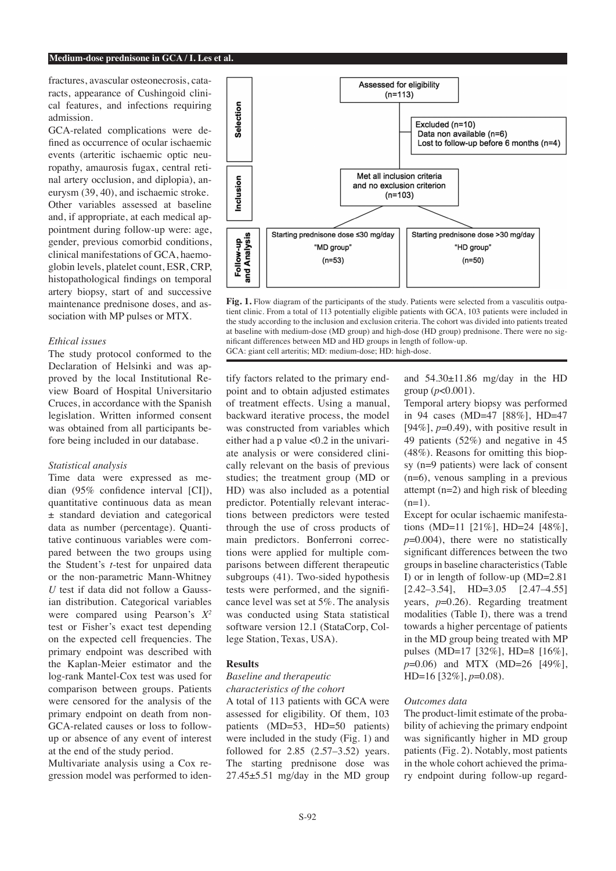fractures, avascular osteonecrosis, cataracts, appearance of Cushingoid clinical features, and infections requiring admission.

GCA-related complications were defined as occurrence of ocular ischaemic events (arteritic ischaemic optic neuropathy, amaurosis fugax, central retinal artery occlusion, and diplopia), aneurysm (39, 40), and ischaemic stroke. Other variables assessed at baseline and, if appropriate, at each medical appointment during follow-up were: age, gender, previous comorbid conditions, clinical manifestations of GCA, haemoglobin levels, platelet count, ESR, CRP, histopathological findings on temporal artery biopsy, start of and successive maintenance prednisone doses, and association with MP pulses or MTX.

### *Ethical issues*

The study protocol conformed to the Declaration of Helsinki and was approved by the local Institutional Review Board of Hospital Universitario Cruces, in accordance with the Spanish legislation. Written informed consent was obtained from all participants before being included in our database.

### *Statistical analysis*

Time data were expressed as median (95% confidence interval [CI]), quantitative continuous data as mean ± standard deviation and categorical data as number (percentage). Quantitative continuous variables were compared between the two groups using the Student's *t*-test for unpaired data or the non-parametric Mann-Whitney *U* test if data did not follow a Gaussian distribution. Categorical variables were compared using Pearson's *X2* test or Fisher's exact test depending on the expected cell frequencies. The primary endpoint was described with the Kaplan-Meier estimator and the log-rank Mantel-Cox test was used for comparison between groups. Patients were censored for the analysis of the primary endpoint on death from non-GCA-related causes or loss to followup or absence of any event of interest at the end of the study period.

Multivariate analysis using a Cox regression model was performed to iden-



Fig. 1. Flow diagram of the participants of the study. Patients were selected from a vasculitis outpatient clinic. From a total of 113 potentially eligible patients with GCA, 103 patients were included in the study according to the inclusion and exclusion criteria. The cohort was divided into patients treated at baseline with medium-dose (MD group) and high-dose (HD group) prednisone. There were no significant differences between MD and HD groups in length of follow-up. GCA: giant cell arteritis; MD: medium-dose; HD: high-dose.

tify factors related to the primary endpoint and to obtain adjusted estimates of treatment effects. Using a manual, backward iterative process, the model was constructed from variables which either had a p value <0.2 in the univariate analysis or were considered clinically relevant on the basis of previous studies; the treatment group (MD or HD) was also included as a potential predictor. Potentially relevant interactions between predictors were tested through the use of cross products of main predictors. Bonferroni corrections were applied for multiple comparisons between different therapeutic subgroups (41). Two-sided hypothesis tests were performed, and the significance level was set at 5%. The analysis was conducted using Stata statistical software version 12.1 (StataCorp, College Station, Texas, USA).

### **Results**

# *Baseline and therapeutic*

*characteristics of the cohort* A total of 113 patients with GCA were assessed for eligibility. Of them, 103 patients (MD=53, HD=50 patients) were included in the study (Fig. 1) and followed for 2.85 (2.57–3.52) years. The starting prednisone dose was 27.45±5.51 mg/day in the MD group and 54.30±11.86 mg/day in the HD group (*p*<0.001).

Temporal artery biopsy was performed in 94 cases (MD=47 [88%], HD=47  $[94\%]$ ,  $p=0.49$ ), with positive result in 49 patients (52%) and negative in 45 (48%). Reasons for omitting this biopsy (n=9 patients) were lack of consent (n=6), venous sampling in a previous attempt (n=2) and high risk of bleeding  $(n=1)$ .

Except for ocular ischaemic manifestations (MD=11 [21%], HD=24 [48%], *p*=0.004), there were no statistically significant differences between the two groups in baseline characteristics (Table I) or in length of follow-up (MD=2.81 [2.42–3.54], HD=3.05 [2.47–4.55] years,  $p=0.26$ ). Regarding treatment modalities (Table I), there was a trend towards a higher percentage of patients in the MD group being treated with MP pulses (MD=17 [32%], HD=8 [16%], *p*=0.06) and MTX (MD=26 [49%], HD=16 [32%], *p*=0.08).

## *Outcomes data*

The product-limit estimate of the probability of achieving the primary endpoint was significantly higher in MD group patients (Fig. 2). Notably, most patients in the whole cohort achieved the primary endpoint during follow-up regard-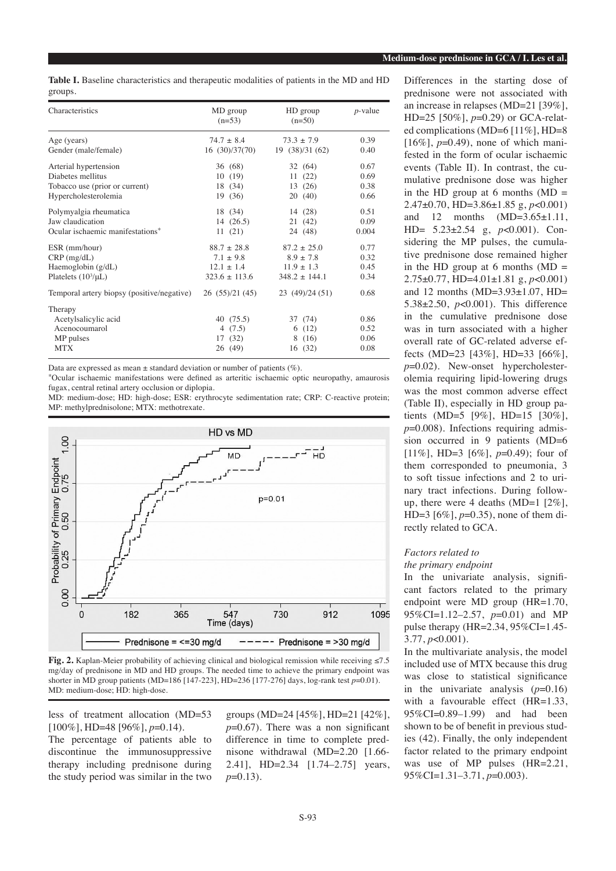**Table I.** Baseline characteristics and therapeutic modalities of patients in the MD and HD groups.

| Characteristics                            | MD group<br>$(n=53)$ | HD group<br>$(n=50)$ | $p$ -value |
|--------------------------------------------|----------------------|----------------------|------------|
| Age (years)                                | $74.7 + 8.4$         | $73.3 + 7.9$         | 0.39       |
| Gender (male/female)                       | 16(30)/37(70)        | 19(38)/31(62)        | 0.40       |
| Arterial hypertension                      | 36 (68)              | 32 (64)              | 0.67       |
| Diabetes mellitus                          | 10(19)               | 11(22)               | 0.69       |
| Tobacco use (prior or current)             | 18 (34)              | 13(26)               | 0.38       |
| Hypercholesterolemia                       | 19 (36)              | 20(40)               | 0.66       |
| Polymyalgia rheumatica                     | 18 (34)              | 14 (28)              | 0.51       |
| Jaw claudication                           | 14(26.5)             | 21 (42)              | 0.09       |
| Ocular ischaemic manifestations*           | 11(21)               | 24 (48)              | 0.004      |
| ESR (mm/hour)                              | $88.7 + 28.8$        | $87.2 + 25.0$        | 0.77       |
| $CRP$ (mg/dL)                              | $7.1 + 9.8$          | $8.9 + 7.8$          | 0.32       |
| Haemoglobin $(g/dL)$                       | $12.1 + 1.4$         | $11.9 + 1.3$         | 0.45       |
| Platelets $(10^3/\mu L)$                   | $323.6 \pm 113.6$    | $348.2 + 144.1$      | 0.34       |
| Temporal artery biopsy (positive/negative) | 26(55)/21(45)        | 23 (49)/24 (51)      | 0.68       |
| Therapy                                    |                      |                      |            |
| Acetylsalicylic acid                       | 40(75.5)             | 37 (74)              | 0.86       |
| Acenocoumarol                              | 4(7.5)               | 6(12)                | 0.52       |
| MP pulses                                  | 17(32)               | 8(16)                | 0.06       |
| <b>MTX</b>                                 | 26 (49)              | 16 (32)              | 0.08       |

Data are expressed as mean  $\pm$  standard deviation or number of patients  $(\%)$ .

\*Ocular ischaemic manifestations were defined as arteritic ischaemic optic neuropathy, amaurosis fugax, central retinal artery occlusion or diplopia.

MD: medium-dose; HD: high-dose; ESR: erythrocyte sedimentation rate; CRP: C-reactive protein; MP: methylprednisolone; MTX: methotrexate.



**Fig. 2.** Kaplan-Meier probability of achieving clinical and biological remission while receiving ≤7.5 mg/day of prednisone in MD and HD groups. The needed time to achieve the primary endpoint was shorter in MD group patients (MD=186 [147-223], HD=236 [177-276] days, log-rank test *p*=0.01). MD: medium-dose; HD: high-dose.

less of treatment allocation (MD=53 [100%], HD=48 [96%], *p*=0.14). The percentage of patients able to discontinue the immunosuppressive

therapy including prednisone during the study period was similar in the two

groups (MD=24 [45%], HD=21 [42%], *p*=0.67). There was a non significant difference in time to complete prednisone withdrawal (MD=2.20 [1.66- 2.41], HD=2.34 [1.74–2.75] years, *p*=0.13).

Differences in the starting dose of prednisone were not associated with an increase in relapses (MD=21 [39%], HD=25 [50%], *p*=0.29) or GCA-related complications (MD=6 [11%], HD=8  $[16\%]$ ,  $p=0.49$ ), none of which manifested in the form of ocular ischaemic events (Table II). In contrast, the cumulative prednisone dose was higher in the HD group at 6 months  $(MD =$ 2.47±0.70, HD=3.86±1.85 g, *p*<0.001) and 12 months (MD=3.65±1.11, HD= 5.23±2.54 g, *p*<0.001). Considering the MP pulses, the cumulative prednisone dose remained higher in the HD group at 6 months  $(MD =$ 2.75±0.77, HD=4.01±1.81 g, *p*<0.001) and 12 months (MD=3.93±1.07, HD= 5.38±2.50, *p*<0.001). This difference in the cumulative prednisone dose was in turn associated with a higher overall rate of GC-related adverse effects (MD=23 [43%], HD=33 [66%], *p*=0.02). New-onset hypercholesterolemia requiring lipid-lowering drugs was the most common adverse effect (Table II), especially in HD group patients (MD=5 [9%], HD=15 [30%], *p*=0.008). Infections requiring admission occurred in 9 patients (MD=6 [11%], HD=3 [6%], *p*=0.49); four of them corresponded to pneumonia, 3 to soft tissue infections and 2 to urinary tract infections. During followup, there were 4 deaths (MD=1 [2%], HD=3 [6%], *p*=0.35), none of them directly related to GCA.

## *Factors related to*

### *the primary endpoint*

In the univariate analysis, significant factors related to the primary endpoint were MD group (HR=1.70, 95%CI=1.12–2.57, *p*=0.01) and MP pulse therapy (HR=2.34, 95%CI=1.45- 3.77, *p*<0.001).

In the multivariate analysis, the model included use of MTX because this drug was close to statistical significance in the univariate analysis  $(p=0.16)$ with a favourable effect (HR=1.33, 95%CI=0.89–1.99) and had been shown to be of benefit in previous studies (42). Finally, the only independent factor related to the primary endpoint was use of MP pulses (HR=2.21, 95%CI=1.31–3.71, *p*=0.003).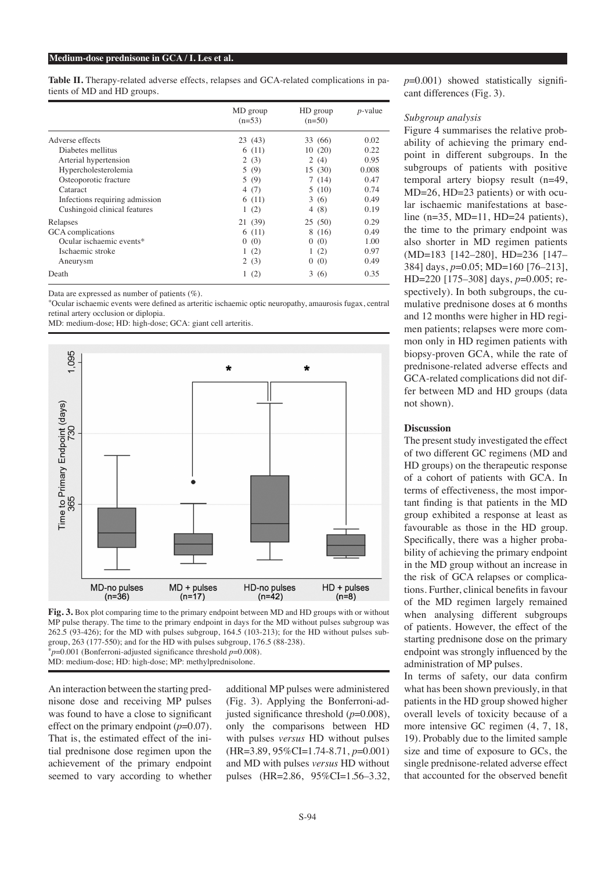### **Medium-dose prednisone in GCA / I. Les et al.**

**Table II.** Therapy-related adverse effects, relapses and GCA-related complications in patients of MD and HD groups.

|                                | MD group<br>$(n=53)$ | HD group<br>$(n=50)$ | $p$ -value |
|--------------------------------|----------------------|----------------------|------------|
| Adverse effects                | 23(43)               | 33 (66)              | 0.02       |
| Diabetes mellitus              | 6(11)                | 10(20)               | 0.22       |
| Arterial hypertension          | 2(3)                 | 2(4)                 | 0.95       |
| Hypercholesterolemia           | 5(9)                 | 15(30)               | 0.008      |
| Osteoporotic fracture          | 5(9)                 | 7(14)                | 0.47       |
| Cataract                       | 4(7)                 | 5(10)                | 0.74       |
| Infections requiring admission | 6 (11)               | 3(6)                 | 0.49       |
| Cushingoid clinical features   | 1(2)                 | 4(8)                 | 0.19       |
| Relapses                       | 21 (39)              | 25(50)               | 0.29       |
| GCA complications              | 6 (11)               | 8(16)                | 0.49       |
| Ocular ischaemic events*       | 0(0)                 | 0(0)                 | 1.00       |
| Ischaemic stroke               | 1(2)                 | 1(2)                 | 0.97       |
| Aneurysm                       | 2(3)                 | 0(0)                 | 0.49       |
| Death                          | 1(2)                 | 3(6)                 | 0.35       |

Data are expressed as number of patients (%).

\*Ocular ischaemic events were defined as arteritic ischaemic optic neuropathy, amaurosis fugax, central retinal artery occlusion or diplopia.

MD: medium-dose; HD: high-dose; GCA: giant cell arteritis.



**Fig. 3.** Box plot comparing time to the primary endpoint between MD and HD groups with or without MP pulse therapy. The time to the primary endpoint in days for the MD without pulses subgroup was 262.5 (93-426); for the MD with pulses subgroup, 164.5 (103-213); for the HD without pulses subgroup, 263 (177-550); and for the HD with pulses subgroup, 176.5 (88-238). \**p*=0.001 (Bonferroni-adjusted significance threshold *p*=0.008). MD: medium-dose; HD: high-dose; MP: methylprednisolone.

An interaction between the starting prednisone dose and receiving MP pulses was found to have a close to significant effect on the primary endpoint  $(p=0.07)$ . That is, the estimated effect of the initial prednisone dose regimen upon the achievement of the primary endpoint seemed to vary according to whether

additional MP pulses were administered (Fig. 3). Applying the Bonferroni-adjusted significance threshold (*p*=0.008), only the comparisons between HD with pulses *versus* HD without pulses (HR=3.89, 95%CI=1.74-8.71, *p*=0.001) and MD with pulses *versus* HD without pulses (HR=2.86, 95%CI=1.56–3.32,

 $p=0.001$ ) showed statistically significant differences (Fig. 3).

### *Subgroup analysis*

Figure 4 summarises the relative probability of achieving the primary endpoint in different subgroups. In the subgroups of patients with positive temporal artery biopsy result (n=49, MD=26, HD=23 patients) or with ocular ischaemic manifestations at baseline (n=35, MD=11, HD=24 patients), the time to the primary endpoint was also shorter in MD regimen patients (MD=183 [142–280], HD=236 [147– 384] days, *p*=0.05; MD=160 [76–213], HD=220 [175–308] days, *p*=0.005; respectively). In both subgroups, the cumulative prednisone doses at 6 months and 12 months were higher in HD regimen patients; relapses were more common only in HD regimen patients with biopsy-proven GCA, while the rate of prednisone-related adverse effects and GCA-related complications did not differ between MD and HD groups (data not shown).

### **Discussion**

The present study investigated the effect of two different GC regimens (MD and HD groups) on the therapeutic response of a cohort of patients with GCA. In terms of effectiveness, the most important finding is that patients in the MD group exhibited a response at least as favourable as those in the HD group. Specifically, there was a higher probability of achieving the primary endpoint in the MD group without an increase in the risk of GCA relapses or complications. Further, clinical benefits in favour of the MD regimen largely remained when analysing different subgroups of patients. However, the effect of the starting prednisone dose on the primary endpoint was strongly influenced by the administration of MP pulses.

In terms of safety, our data confirm what has been shown previously, in that patients in the HD group showed higher overall levels of toxicity because of a more intensive GC regimen (4, 7, 18, 19). Probably due to the limited sample size and time of exposure to GCs, the single prednisone-related adverse effect that accounted for the observed benefit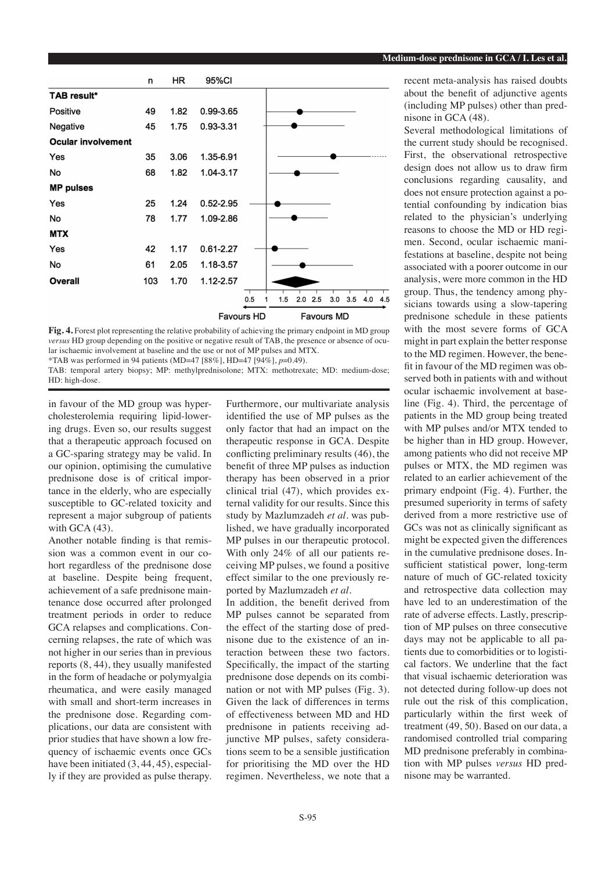|                           | n   | HR   | 95%CI         |                   |                                               |
|---------------------------|-----|------|---------------|-------------------|-----------------------------------------------|
| TAB result*               |     |      |               |                   |                                               |
| Positive                  | 49  | 1.82 | 0.99-3.65     |                   |                                               |
| Negative                  | 45  | 1.75 | 0.93-3.31     |                   |                                               |
| <b>Ocular involvement</b> |     |      |               |                   |                                               |
| Yes                       | 35  | 3.06 | 1.35-6.91     |                   |                                               |
| No                        | 68  | 1.82 | 1.04-3.17     |                   |                                               |
| <b>MP pulses</b>          |     |      |               |                   |                                               |
| Yes                       | 25  | 1.24 | $0.52 - 2.95$ |                   |                                               |
| No                        | 78  | 1.77 | 1.09-2.86     |                   |                                               |
| <b>MTX</b>                |     |      |               |                   |                                               |
| Yes                       | 42  | 1.17 | $0.61 - 2.27$ |                   |                                               |
| No                        | 61  | 2.05 | 1.18-3.57     |                   |                                               |
| Overall                   | 103 | 1.70 | 1.12-2.57     |                   |                                               |
|                           |     |      |               | 0.5<br>1          | 2.0<br>1.5<br>2.5<br>3.0<br>3.5<br>4.0<br>4.5 |
|                           |     |      |               | <b>Favours HD</b> | <b>Favours MD</b>                             |
|                           |     |      |               |                   |                                               |

**Fig. 4.** Forest plot representing the relative probability of achieving the primary endpoint in MD group *versus* HD group depending on the positive or negative result of TAB, the presence or absence of ocular ischaemic involvement at baseline and the use or not of MP pulses and MTX. \*TAB was performed in 94 patients (MD=47 [88%], HD=47 [94%], *p*=0.49).

TAB: temporal artery biopsy; MP: methylprednisolone; MTX: methotrexate; MD: medium-dose; HD: high-dose.

in favour of the MD group was hypercholesterolemia requiring lipid-lowering drugs. Even so, our results suggest that a therapeutic approach focused on a GC-sparing strategy may be valid. In our opinion, optimising the cumulative prednisone dose is of critical importance in the elderly, who are especially susceptible to GC-related toxicity and represent a major subgroup of patients with GCA (43).

Another notable finding is that remission was a common event in our cohort regardless of the prednisone dose at baseline. Despite being frequent, achievement of a safe prednisone maintenance dose occurred after prolonged treatment periods in order to reduce GCA relapses and complications. Concerning relapses, the rate of which was not higher in our series than in previous reports (8, 44), they usually manifested in the form of headache or polymyalgia rheumatica, and were easily managed with small and short-term increases in the prednisone dose. Regarding complications, our data are consistent with prior studies that have shown a low frequency of ischaemic events once GCs have been initiated  $(3, 44, 45)$ , especially if they are provided as pulse therapy.

Furthermore, our multivariate analysis identified the use of MP pulses as the only factor that had an impact on the therapeutic response in GCA. Despite conflicting preliminary results (46), the benefit of three MP pulses as induction therapy has been observed in a prior clinical trial (47), which provides external validity for our results. Since this study by Mazlumzadeh *et al.* was published, we have gradually incorporated MP pulses in our therapeutic protocol. With only 24% of all our patients receiving MP pulses, we found a positive effect similar to the one previously reported by Mazlumzadeh *et al.*

In addition, the benefit derived from MP pulses cannot be separated from the effect of the starting dose of prednisone due to the existence of an interaction between these two factors. Specifically, the impact of the starting prednisone dose depends on its combination or not with MP pulses (Fig. 3). Given the lack of differences in terms of effectiveness between MD and HD prednisone in patients receiving adjunctive MP pulses, safety considerations seem to be a sensible justification for prioritising the MD over the HD regimen. Nevertheless, we note that a recent meta-analysis has raised doubts about the benefit of adjunctive agents (including MP pulses) other than prednisone in GCA (48).

Several methodological limitations of the current study should be recognised. First, the observational retrospective design does not allow us to draw firm conclusions regarding causality, and does not ensure protection against a potential confounding by indication bias related to the physician's underlying reasons to choose the MD or HD regimen. Second, ocular ischaemic manifestations at baseline, despite not being associated with a poorer outcome in our analysis, were more common in the HD group. Thus, the tendency among physicians towards using a slow-tapering prednisone schedule in these patients with the most severe forms of GCA might in part explain the better response to the MD regimen. However, the benefit in favour of the MD regimen was observed both in patients with and without ocular ischaemic involvement at baseline (Fig. 4). Third, the percentage of patients in the MD group being treated with MP pulses and/or MTX tended to be higher than in HD group. However, among patients who did not receive MP pulses or MTX, the MD regimen was related to an earlier achievement of the primary endpoint (Fig. 4). Further, the presumed superiority in terms of safety derived from a more restrictive use of GCs was not as clinically significant as might be expected given the differences in the cumulative prednisone doses. Insufficient statistical power, long-term nature of much of GC-related toxicity and retrospective data collection may have led to an underestimation of the rate of adverse effects. Lastly, prescription of MP pulses on three consecutive days may not be applicable to all patients due to comorbidities or to logistical factors. We underline that the fact that visual ischaemic deterioration was not detected during follow-up does not rule out the risk of this complication, particularly within the first week of treatment (49, 50). Based on our data, a randomised controlled trial comparing MD prednisone preferably in combination with MP pulses *versus* HD prednisone may be warranted.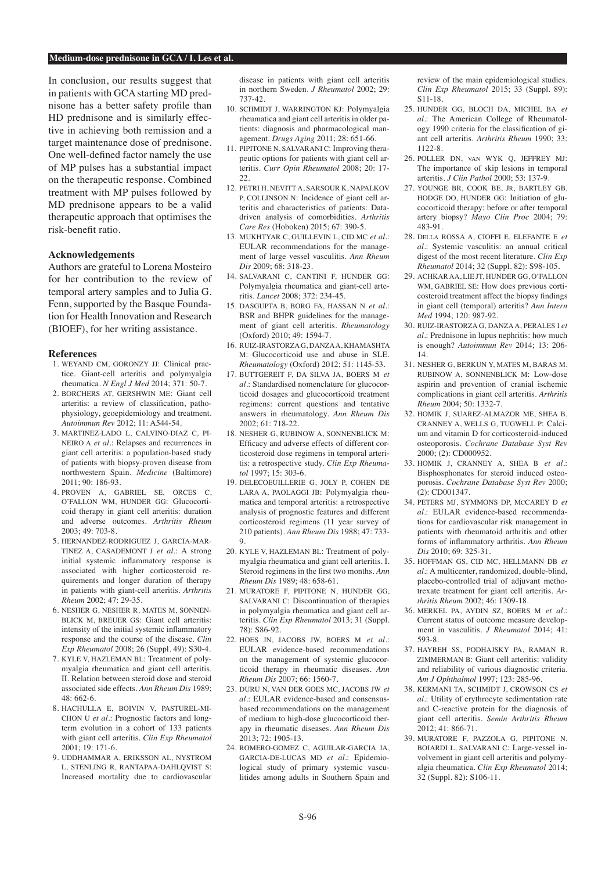### **Medium-dose prednisone in GCA / I. Les et al.**

In conclusion, our results suggest that in patients with GCA starting MD prednisone has a better safety profile than HD prednisone and is similarly effective in achieving both remission and a target maintenance dose of prednisone. One well-defined factor namely the use of MP pulses has a substantial impact on the therapeutic response. Combined treatment with MP pulses followed by MD prednisone appears to be a valid therapeutic approach that optimises the risk-benefit ratio.

## **Acknowledgements**

Authors are grateful to Lorena Mosteiro for her contribution to the review of temporal artery samples and to Julia G. Fenn, supported by the Basque Foundation for Health Innovation and Research (BIOEF), for her writing assistance.

### **References**

- 1. WEYAND CM, GORONZY JJ: Clinical practice. Giant-cell arteritis and polymyalgia rheumatica. *N Engl J Med* 2014; 371: 50-7.
- 2. BORCHERS AT, GERSHWIN ME: Giant cell arteritis: a review of classification, pathophysiology, geoepidemiology and treatment. *Autoimmun Rev* 2012; 11: A544-54.
- 3. MARTINEZ-LADO L, CALVINO-DIAZ C, PI-NEIRO A *et al.*: Relapses and recurrences in giant cell arteritis: a population-based study of patients with biopsy-proven disease from northwestern Spain. *Medicine* (Baltimore) 2011; 90: 186-93.
- 4. PROVEN A, GABRIEL SE, ORCES C, O'FALLON WM, HUNDER GG: Glucocorticoid therapy in giant cell arteritis: duration and adverse outcomes. *Arthritis Rheum* 2003; 49: 703-8.
- 5. HERNANDEZ-RODRIGUEZ J, GARCIA-MAR-TINEZ A, CASADEMONT J *et al.*: A strong initial systemic inflammatory response is associated with higher corticosteroid requirements and longer duration of therapy in patients with giant-cell arteritis. *Arthritis Rheum* 2002; 47: 29-35.
- 6. NESHER G, NESHER R, MATES M, SONNEN-BLICK M, BREUER GS: Giant cell arteritis: intensity of the initial systemic inflammatory response and the course of the disease. *Clin Exp Rheumatol* 2008; 26 (Suppl. 49): S30-4.
- 7. KYLE V, HAZLEMAN BL: Treatment of polymyalgia rheumatica and giant cell arteritis. II. Relation between steroid dose and steroid associated side effects. *Ann Rheum Dis* 1989; 48: 662-6.
- 8. HACHULLA E, BOIVIN V, PASTUREL-MI-CHON U *et al.*: Prognostic factors and longterm evolution in a cohort of 133 patients with giant cell arteritis. *Clin Exp Rheumatol*  $2001 \cdot 19: 171-6$ .
- 9. UDDHAMMAR A, ERIKSSON AL, NYSTROM L, STENLING R, RANTAPAA-DAHLOVIST S: Increased mortality due to cardiovascular

disease in patients with giant cell arteritis in northern Sweden. *J Rheumatol* 2002; 29: 737-42.

- 10. SCHMIDT J, WARRINGTON KJ: Polymyalgia rheumatica and giant cell arteritis in older patients: diagnosis and pharmacological management. *Drugs Aging* 2011; 28: 651-66.
- 11. PIPITONE N, SALVARANI C: Improving therapeutic options for patients with giant cell arteritis. *Curr Opin Rheumatol* 2008; 20: 17-  $22.2$
- 12. PETRI H, NEVITT A, SARSOUR K, NAPALKOV P, COLLINSON N: Incidence of giant cell arteritis and characteristics of patients: Datadriven analysis of comorbidities. *Arthritis Care Res* (Hoboken) 2015; 67: 390-5.
- 13. MUKHTYAR C, GUILLEVIN L, CID MC *et al.*: EULAR recommendations for the management of large vessel vasculitis. *Ann Rheum Dis* 2009; 68: 318-23.
- 14. SALVARANI C, CANTINI F, HUNDER GG: Polymyalgia rheumatica and giant-cell arteritis. *Lancet* 2008; 372: 234-45.
- 15. DASGUPTA B, BORG FA, HASSAN N *et al.*: BSR and BHPR guidelines for the management of giant cell arteritis. *Rheumatology*  (Oxford) 2010; 49: 1594-7.
- 16. RUIZ-IRASTORZA G, DANZA A, KHAMASHTA M: Glucocorticoid use and abuse in SLE. *Rheumatology* (Oxford) 2012; 51: 1145-53.
- 17. BUTTGEREIT F, DA SILVA JA, BOERS M *et al.*: Standardised nomenclature for glucocorticoid dosages and glucocorticoid treatment regimens: current questions and tentative answers in rheumatology. *Ann Rheum Dis* 2002; 61: 718-22.
- 18. NESHER G, RUBINOW A, SONNENBLICK M: Efficacy and adverse effects of different corticosteroid dose regimens in temporal arteritis: a retrospective study. *Clin Exp Rheumatol* 1997; 15: 303-6.
- 19. DELECOEUILLERIE G, JOLY P, COHEN DE LARA A, PAOLAGGI JB: Polymyalgia rheumatica and temporal arteritis: a retrospective analysis of prognostic features and different corticosteroid regimens (11 year survey of 210 patients). *Ann Rheum Dis* 1988; 47: 733- 9.
- 20. KYLE V, HAZLEMAN BL: Treatment of polymyalgia rheumatica and giant cell arteritis. I. Steroid regimens in the first two months. *Ann Rheum Dis* 1989; 48: 658-61.
- 21. MURATORE F, PIPITONE N, HUNDER GG, SALVARANI C: Discontinuation of therapies in polymyalgia rheumatica and giant cell arteritis. *Clin Exp Rheumatol* 2013; 31 (Suppl. 78): S86-92.
- 22. HOES JN, JACOBS JW, BOERS M *et al.*: EULAR evidence-based recommendations on the management of systemic glucocorticoid therapy in rheumatic diseases. *Ann Rheum Dis* 2007; 66: 1560-7.
- 23. DURU N, VAN DER GOES MC, JACOBS JW *et al.*: EULAR evidence-based and consensusbased recommendations on the management of medium to high-dose glucocorticoid therapy in rheumatic diseases. *Ann Rheum Dis*  $2013 \cdot 72: 1905 - 13$ .
- 24. ROMERO-GOMEZ C, AGUILAR-GARCIA JA, GARCIA-DE-LUCAS MD *et al.*: Epidemiological study of primary systemic vasculitides among adults in Southern Spain and

review of the main epidemiological studies. *Clin Exp Rheumatol* 2015; 33 (Suppl. 89): S11-18.

- 25. HUNDER GG, BLOCH DA, MICHEL BA *et al.*: The American College of Rheumatology 1990 criteria for the classification of giant cell arteritis. *Arthritis Rheum* 1990; 33: 1122-8.
- 26. POLLER DN, van WYK Q, JEFFREY MJ: The importance of skip lesions in temporal arteritis. *J Clin Pathol* 2000; 53: 137-9.
- 27. YOUNGE BR, COOK BE, Jr, BARTLEY GB, HODGE DO, HUNDER GG: Initiation of glucocorticoid therapy: before or after temporal artery biopsy? *Mayo Clin Proc* 2004; 79: 483-91.
- 28. Della ROSSA A, CIOFFI E, ELEFANTE E *et al.*: Systemic vasculitis: an annual critical digest of the most recent literature. *Clin Exp Rheumatol* 2014; 32 (Suppl. 82): S98-105.
- 29. ACHKAR AA, LIE JT, HUNDER GG, O'FALLON WM, GABRIEL SE: How does previous corticosteroid treatment affect the biopsy findings in giant cell (temporal) arteritis? *Ann Intern Med* 1994; 120: 987-92.
- 30. RUIZ-IRASTORZA G, DANZA A, PERALES I *et al.*: Prednisone in lupus nephritis: how much is enough? *Autoimmun Rev* 2014; 13: 206- 14.
- 31. NESHER G, BERKUN Y, MATES M, BARAS M, RUBINOW A, SONNENBLICK M: Low-dose aspirin and prevention of cranial ischemic complications in giant cell arteritis. *Arthritis Rheum* 2004; 50: 1332-7.
- 32. HOMIK J, SUAREZ-ALMAZOR ME, SHEA B, CRANNEY A, WELLS G, TUGWELL P: Calcium and vitamin D for corticosteroid-induced osteoporosis. *Cochrane Database Syst Rev* 2000; (2): CD000952.
- 33. HOMIK J, CRANNEY A, SHEA B *et al.*: Bisphosphonates for steroid induced osteoporosis. *Cochrane Database Syst Rev* 2000; (2): CD001347.
- 34. PETERS MJ, SYMMONS DP, McCAREY D *et al.*: EULAR evidence-based recommendations for cardiovascular risk management in patients with rheumatoid arthritis and other forms of inflammatory arthritis. *Ann Rheum Dis* 2010; 69: 325-31.
- 35. HOFFMAN GS, CID MC, HELLMANN DB *et al.*: A multicenter, randomized, double-blind, placebo-controlled trial of adjuvant methotrexate treatment for giant cell arteritis. *Arthritis Rheum* 2002; 46: 1309-18.
- 36. MERKEL PA, AYDIN SZ, BOERS M *et al.*: Current status of outcome measure development in vasculitis. *J Rheumatol* 2014; 41: 593-8.
- 37. HAYREH SS, PODHAJSKY PA, RAMAN R, ZIMMERMAN B: Giant cell arteritis: validity and reliability of various diagnostic criteria. *Am J Ophthalmol* 1997; 123: 285-96.
- 38. KERMANI TA, SCHMIDT J, CROWSON CS *et al.*: Utility of erythrocyte sedimentation rate and C-reactive protein for the diagnosis of giant cell arteritis. *Semin Arthritis Rheum* 2012; 41: 866-71.
- 39. MURATORE F, PAZZOLA G, PIPITONE N, BOIARDI L, SALVARANI C: Large-vessel involvement in giant cell arteritis and polymyalgia rheumatica. *Clin Exp Rheumatol* 2014; 32 (Suppl. 82): S106-11.